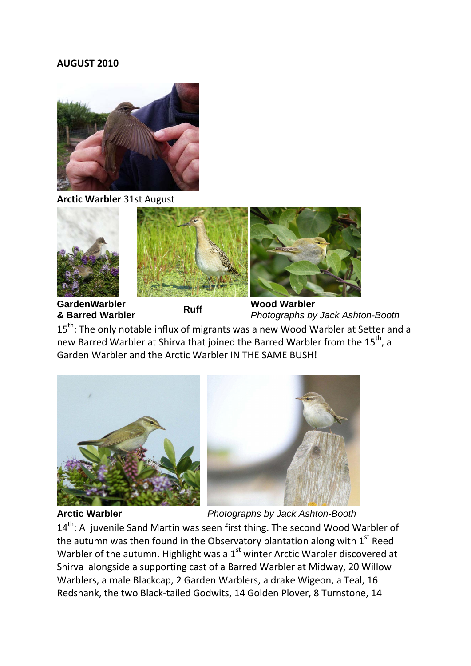## **AUGUST 2010**



**Arctic Warbler** 31st August



**GardenWarbler CardenWarbler**<br> **8 Barred Warbler**<br> **Ruff** Photographs by<br>
Photographs by

*Photographs by Jack Ashton-Booth*

15<sup>th</sup>: The only notable influx of migrants was a new Wood Warbler at Setter and a new Barred Warbler at Shirva that joined the Barred Warbler from the 15<sup>th</sup>, a Garden Warbler and the Arctic Warbler IN THE SAME BUSH!



**Arctic Warbler** *Photographs by Jack Ashton-Booth*

14<sup>th</sup>: A juvenile Sand Martin was seen first thing. The second Wood Warbler of the autumn was then found in the Observatory plantation along with  $1<sup>st</sup>$  Reed Warbler of the autumn. Highlight was a  $1<sup>st</sup>$  winter Arctic Warbler discovered at Shirva alongside a supporting cast of a Barred Warbler at Midway, 20 Willow Warblers, a male Blackcap, 2 Garden Warblers, a drake Wigeon, a Teal, 16 Redshank, the two Black-tailed Godwits, 14 Golden Plover, 8 Turnstone, 14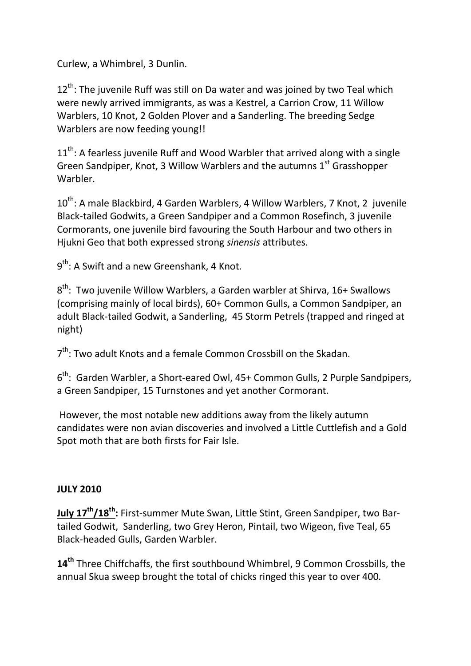Curlew, a Whimbrel, 3 Dunlin.

 $12<sup>th</sup>$ : The juvenile Ruff was still on Da water and was joined by two Teal which were newly arrived immigrants, as was a Kestrel, a Carrion Crow, 11 Willow Warblers, 10 Knot, 2 Golden Plover and a Sanderling. The breeding Sedge Warblers are now feeding young!!

 $11<sup>th</sup>$ : A fearless juvenile Ruff and Wood Warbler that arrived along with a single Green Sandpiper, Knot, 3 Willow Warblers and the autumns  $1<sup>st</sup>$  Grasshopper **Warbler** 

10<sup>th</sup>: A male Blackbird, 4 Garden Warblers, 4 Willow Warblers, 7 Knot, 2 juvenile Black-tailed Godwits, a Green Sandpiper and a Common Rosefinch, 3 juvenile Cormorants, one juvenile bird favouring the South Harbour and two others in Hjukni Geo that both expressed strong *sinensis* attributes.

9<sup>th</sup>: A Swift and a new Greenshank, 4 Knot.

 $8<sup>th</sup>$ : Two juvenile Willow Warblers, a Garden warbler at Shirva, 16+ Swallows (comprising mainly of local birds), 60+ Common Gulls, a Common Sandpiper, an adult Black-tailed Godwit, a Sanderling, 45 Storm Petrels (trapped and ringed at night)

 $7<sup>th</sup>$ : Two adult Knots and a female Common Crossbill on the Skadan.

6<sup>th</sup>: Garden Warbler, a Short-eared Owl, 45+ Common Gulls, 2 Purple Sandpipers, a Green Sandpiper, 15 Turnstones and yet another Cormorant.

However, the most notable new additions away from the likely autumn candidates were non avian discoveries and involved a Little Cuttlefish and a Gold Spot moth that are both firsts for Fair Isle.

## **JULY 2010**

**July 17th/18th :** First-summer Mute Swan, Little Stint, Green Sandpiper, two Bartailed Godwit, Sanderling, two Grey Heron, Pintail, two Wigeon, five Teal, 65 Black-headed Gulls, Garden Warbler.

**14th** Three Chiffchaffs, the first southbound Whimbrel, 9 Common Crossbills, the annual Skua sweep brought the total of chicks ringed this year to over 400.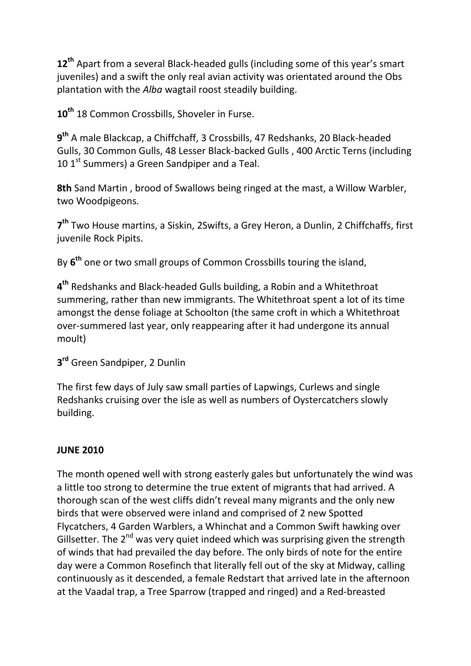**12th** Apart from a several Black-headed gulls (including some of this year's smart juveniles) and a swift the only real avian activity was orientated around the Obs plantation with the *Alba* wagtail roost steadily building.

10<sup>th</sup> 18 Common Crossbills, Shoveler in Furse.

**9th** A male Blackcap, a Chiffchaff, 3 Crossbills, 47 Redshanks, 20 Black-headed Gulls, 30 Common Gulls, 48 Lesser Black-backed Gulls , 400 Arctic Terns (including 10  $1<sup>st</sup>$  Summers) a Green Sandpiper and a Teal.

**8th** Sand Martin , brood of Swallows being ringed at the mast, a Willow Warbler, two Woodpigeons.

**7th** Two House martins, a Siskin, 2Swifts, a Grey Heron, a Dunlin, 2 Chiffchaffs, first juvenile Rock Pipits.

By **6th** one or two small groups of Common Crossbills touring the island,

**4th** Redshanks and Black-headed Gulls building, a Robin and a Whitethroat summering, rather than new immigrants. The Whitethroat spent a lot of its time amongst the dense foliage at Schoolton (the same croft in which a Whitethroat over-summered last year, only reappearing after it had undergone its annual moult)

**3rd** Green Sandpiper, 2 Dunlin

The first few days of July saw small parties of Lapwings, Curlews and single Redshanks cruising over the isle as well as numbers of Oystercatchers slowly building.

## **JUNE 2010**

The month opened well with strong easterly gales but unfortunately the wind was a little too strong to determine the true extent of migrants that had arrived. A thorough scan of the west cliffs didn't reveal many migrants and the only new birds that were observed were inland and comprised of 2 new Spotted Flycatchers, 4 Garden Warblers, a Whinchat and a Common Swift hawking over Gillsetter. The  $2<sup>nd</sup>$  was very quiet indeed which was surprising given the strength of winds that had prevailed the day before. The only birds of note for the entire day were a Common Rosefinch that literally fell out of the sky at Midway, calling continuously as it descended, a female Redstart that arrived late in the afternoon at the Vaadal trap, a Tree Sparrow (trapped and ringed) and a Red-breasted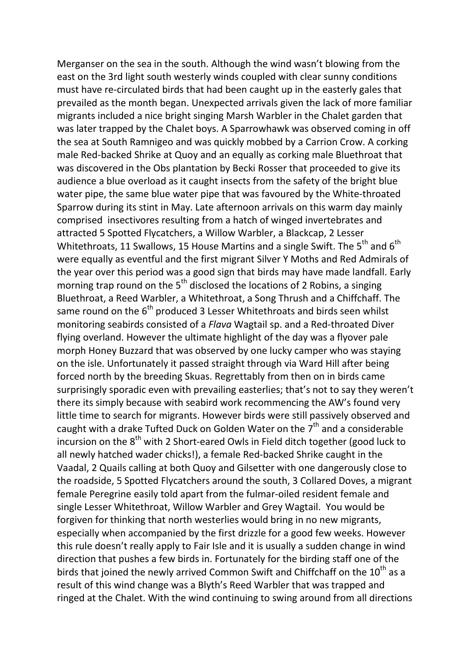Merganser on the sea in the south. Although the wind wasn't blowing from the east on the 3rd light south westerly winds coupled with clear sunny conditions must have re-circulated birds that had been caught up in the easterly gales that prevailed as the month began. Unexpected arrivals given the lack of more familiar migrants included a nice bright singing Marsh Warbler in the Chalet garden that was later trapped by the Chalet boys. A Sparrowhawk was observed coming in off the sea at South Ramnigeo and was quickly mobbed by a Carrion Crow. A corking male Red-backed Shrike at Quoy and an equally as corking male Bluethroat that was discovered in the Obs plantation by Becki Rosser that proceeded to give its audience a blue overload as it caught insects from the safety of the bright blue water pipe, the same blue water pipe that was favoured by the White-throated Sparrow during its stint in May. Late afternoon arrivals on this warm day mainly comprised insectivores resulting from a hatch of winged invertebrates and attracted 5 Spotted Flycatchers, a Willow Warbler, a Blackcap, 2 Lesser Whitethroats, 11 Swallows, 15 House Martins and a single Swift. The  $5^{th}$  and  $6^{th}$ were equally as eventful and the first migrant Silver Y Moths and Red Admirals of the year over this period was a good sign that birds may have made landfall. Early morning trap round on the  $5<sup>th</sup>$  disclosed the locations of 2 Robins, a singing Bluethroat, a Reed Warbler, a Whitethroat, a Song Thrush and a Chiffchaff. The same round on the  $6<sup>th</sup>$  produced 3 Lesser Whitethroats and birds seen whilst monitoring seabirds consisted of a *Flava* Wagtail sp. and a Red-throated Diver flying overland. However the ultimate highlight of the day was a flyover pale morph Honey Buzzard that was observed by one lucky camper who was staying on the isle. Unfortunately it passed straight through via Ward Hill after being forced north by the breeding Skuas. Regrettably from then on in birds came surprisingly sporadic even with prevailing easterlies; that's not to say they weren't there its simply because with seabird work recommencing the AW's found very little time to search for migrants. However birds were still passively observed and caught with a drake Tufted Duck on Golden Water on the  $7<sup>th</sup>$  and a considerable incursion on the  $8<sup>th</sup>$  with 2 Short-eared Owls in Field ditch together (good luck to all newly hatched wader chicks!), a female Red-backed Shrike caught in the Vaadal, 2 Quails calling at both Quoy and Gilsetter with one dangerously close to the roadside, 5 Spotted Flycatchers around the south, 3 Collared Doves, a migrant female Peregrine easily told apart from the fulmar-oiled resident female and single Lesser Whitethroat, Willow Warbler and Grey Wagtail. You would be forgiven for thinking that north westerlies would bring in no new migrants, especially when accompanied by the first drizzle for a good few weeks. However this rule doesn't really apply to Fair Isle and it is usually a sudden change in wind direction that pushes a few birds in. Fortunately for the birding staff one of the birds that joined the newly arrived Common Swift and Chiffchaff on the  $10^{th}$  as a result of this wind change was a Blyth's Reed Warbler that was trapped and ringed at the Chalet. With the wind continuing to swing around from all directions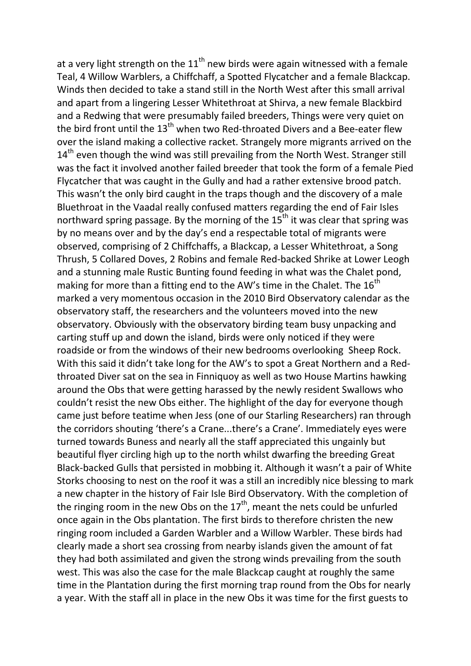at a very light strength on the  $11<sup>th</sup>$  new birds were again witnessed with a female Teal, 4 Willow Warblers, a Chiffchaff, a Spotted Flycatcher and a female Blackcap. Winds then decided to take a stand still in the North West after this small arrival and apart from a lingering Lesser Whitethroat at Shirva, a new female Blackbird and a Redwing that were presumably failed breeders, Things were very quiet on the bird front until the  $13<sup>th</sup>$  when two Red-throated Divers and a Bee-eater flew over the island making a collective racket. Strangely more migrants arrived on the  $14<sup>th</sup>$  even though the wind was still prevailing from the North West. Stranger still was the fact it involved another failed breeder that took the form of a female Pied Flycatcher that was caught in the Gully and had a rather extensive brood patch. This wasn't the only bird caught in the traps though and the discovery of a male Bluethroat in the Vaadal really confused matters regarding the end of Fair Isles northward spring passage. By the morning of the  $15<sup>th</sup>$  it was clear that spring was by no means over and by the day's end a respectable total of migrants were observed, comprising of 2 Chiffchaffs, a Blackcap, a Lesser Whitethroat, a Song Thrush, 5 Collared Doves, 2 Robins and female Red-backed Shrike at Lower Leogh and a stunning male Rustic Bunting found feeding in what was the Chalet pond, making for more than a fitting end to the AW's time in the Chalet. The  $16<sup>th</sup>$ marked a very momentous occasion in the 2010 Bird Observatory calendar as the observatory staff, the researchers and the volunteers moved into the new observatory. Obviously with the observatory birding team busy unpacking and carting stuff up and down the island, birds were only noticed if they were roadside or from the windows of their new bedrooms overlooking Sheep Rock. With this said it didn't take long for the AW's to spot a Great Northern and a Redthroated Diver sat on the sea in Finniquoy as well as two House Martins hawking around the Obs that were getting harassed by the newly resident Swallows who couldn't resist the new Obs either. The highlight of the day for everyone though came just before teatime when Jess (one of our Starling Researchers) ran through the corridors shouting 'there's a Crane...there's a Crane'. Immediately eyes were turned towards Buness and nearly all the staff appreciated this ungainly but beautiful flyer circling high up to the north whilst dwarfing the breeding Great Black-backed Gulls that persisted in mobbing it. Although it wasn't a pair of White Storks choosing to nest on the roof it was a still an incredibly nice blessing to mark a new chapter in the history of Fair Isle Bird Observatory. With the completion of the ringing room in the new Obs on the  $17<sup>th</sup>$ , meant the nets could be unfurled once again in the Obs plantation. The first birds to therefore christen the new ringing room included a Garden Warbler and a Willow Warbler. These birds had clearly made a short sea crossing from nearby islands given the amount of fat they had both assimilated and given the strong winds prevailing from the south west. This was also the case for the male Blackcap caught at roughly the same time in the Plantation during the first morning trap round from the Obs for nearly a year. With the staff all in place in the new Obs it was time for the first guests to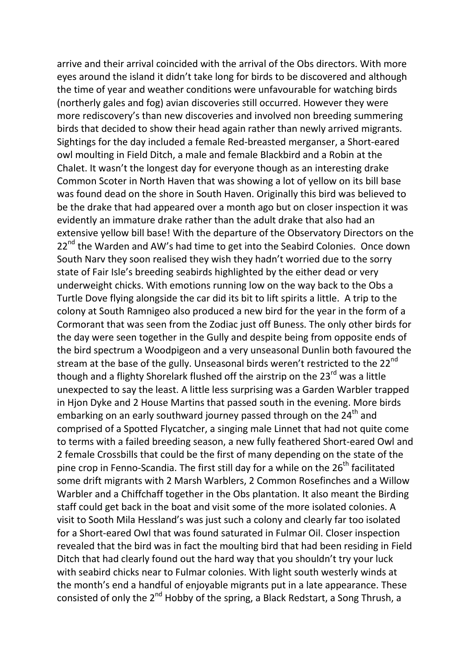arrive and their arrival coincided with the arrival of the Obs directors. With more eyes around the island it didn't take long for birds to be discovered and although the time of year and weather conditions were unfavourable for watching birds (northerly gales and fog) avian discoveries still occurred. However they were more rediscovery's than new discoveries and involved non breeding summering birds that decided to show their head again rather than newly arrived migrants. Sightings for the day included a female Red-breasted merganser, a Short-eared owl moulting in Field Ditch, a male and female Blackbird and a Robin at the Chalet. It wasn't the longest day for everyone though as an interesting drake Common Scoter in North Haven that was showing a lot of yellow on its bill base was found dead on the shore in South Haven. Originally this bird was believed to be the drake that had appeared over a month ago but on closer inspection it was evidently an immature drake rather than the adult drake that also had an extensive yellow bill base! With the departure of the Observatory Directors on the  $22^{nd}$  the Warden and AW's had time to get into the Seabird Colonies. Once down South Narv they soon realised they wish they hadn't worried due to the sorry state of Fair Isle's breeding seabirds highlighted by the either dead or very underweight chicks. With emotions running low on the way back to the Obs a Turtle Dove flying alongside the car did its bit to lift spirits a little. A trip to the colony at South Ramnigeo also produced a new bird for the year in the form of a Cormorant that was seen from the Zodiac just off Buness. The only other birds for the day were seen together in the Gully and despite being from opposite ends of the bird spectrum a Woodpigeon and a very unseasonal Dunlin both favoured the stream at the base of the gully. Unseasonal birds weren't restricted to the 22<sup>nd</sup> though and a flighty Shorelark flushed off the airstrip on the 23<sup>rd</sup> was a little unexpected to say the least. A little less surprising was a Garden Warbler trapped in Hjon Dyke and 2 House Martins that passed south in the evening. More birds embarking on an early southward journey passed through on the 24<sup>th</sup> and comprised of a Spotted Flycatcher, a singing male Linnet that had not quite come to terms with a failed breeding season, a new fully feathered Short-eared Owl and 2 female Crossbills that could be the first of many depending on the state of the pine crop in Fenno-Scandia. The first still day for a while on the  $26<sup>th</sup>$  facilitated some drift migrants with 2 Marsh Warblers, 2 Common Rosefinches and a Willow Warbler and a Chiffchaff together in the Obs plantation. It also meant the Birding staff could get back in the boat and visit some of the more isolated colonies. A visit to Sooth Mila Hessland's was just such a colony and clearly far too isolated for a Short-eared Owl that was found saturated in Fulmar Oil. Closer inspection revealed that the bird was in fact the moulting bird that had been residing in Field Ditch that had clearly found out the hard way that you shouldn't try your luck with seabird chicks near to Fulmar colonies. With light south westerly winds at the month's end a handful of enjoyable migrants put in a late appearance. These consisted of only the 2<sup>nd</sup> Hobby of the spring, a Black Redstart, a Song Thrush, a